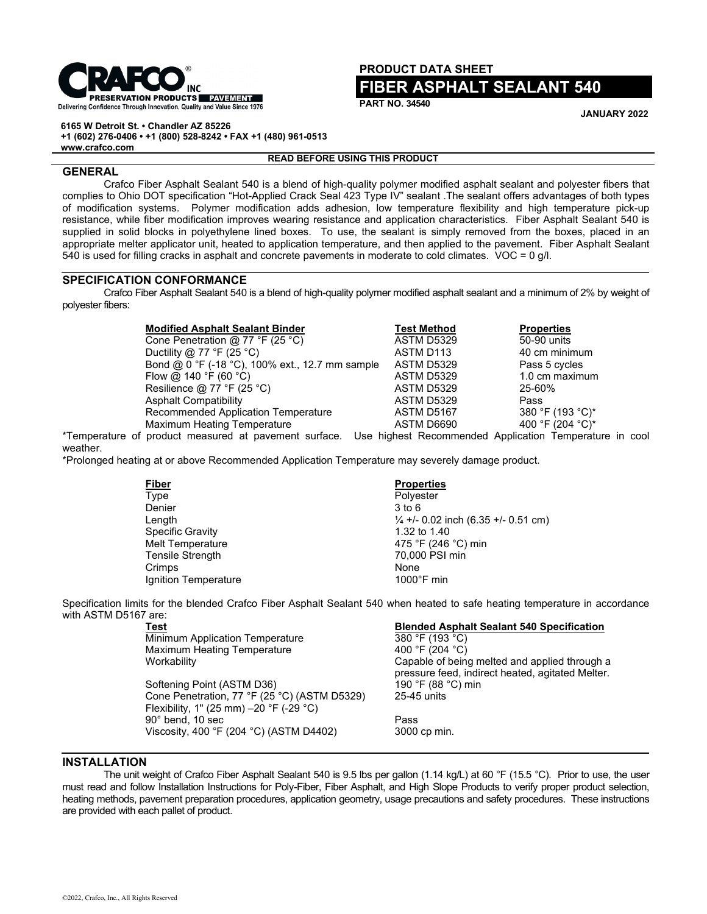

## **PRODUCT DATA SHEET FIBER ASPHALT SEALANT 540**

**PART NO. 34540**

**JANUARY 2022**

**6165 W Detroit St. • Chandler AZ 85226 +1 (602) 276-0406 • +1 (800) 528-8242 • FAX +1 (480) 961-0513 www.crafco.com**

### **READ BEFORE USING THIS PRODUCT**

## **GENERAL**

Crafco Fiber Asphalt Sealant 540 is a blend of high-quality polymer modified asphalt sealant and polyester fibers that complies to Ohio DOT specification "Hot-Applied Crack Seal 423 Type IV" sealant .The sealant offers advantages of both types of modification systems. Polymer modification adds adhesion, low temperature flexibility and high temperature pick-up resistance, while fiber modification improves wearing resistance and application characteristics. Fiber Asphalt Sealant 540 is supplied in solid blocks in polyethylene lined boxes. To use, the sealant is simply removed from the boxes, placed in an appropriate melter applicator unit, heated to application temperature, and then applied to the pavement. Fiber Asphalt Sealant 540 is used for filling cracks in asphalt and concrete pavements in moderate to cold climates. VOC = 0 g/l.

## **SPECIFICATION CONFORMANCE**

Crafco Fiber Asphalt Sealant 540 is a blend of high-quality polymer modified asphalt sealant and a minimum of 2% by weight of polyester fibers:

| <b>Modified Asphalt Sealant Binder</b>          | <b>Test Method</b>                                    | <b>Properties</b> |  |
|-------------------------------------------------|-------------------------------------------------------|-------------------|--|
| Cone Penetration @ 77 °F (25 °C)                | ASTM D5329                                            | 50-90 units       |  |
| Ductility @ 77 °F (25 °C)                       | ASTM D113                                             | 40 cm minimum     |  |
| Bond @ 0 °F (-18 °C), 100% ext., 12.7 mm sample | ASTM D5329                                            | Pass 5 cycles     |  |
| Flow @ 140 °F (60 °C)                           | ASTM D5329                                            | 1.0 cm maximum    |  |
| Resilience @ 77 °F (25 °C)                      | ASTM D5329                                            | 25-60%            |  |
| <b>Asphalt Compatibility</b>                    | <b>ASTM D5329</b>                                     | Pass              |  |
| Recommended Application Temperature             | ASTM D5167                                            | 380 °F (193 °C)*  |  |
| Maximum Heating Temperature                     | ASTM D6690                                            | 400 °F (204 °C)*  |  |
| of product measured at pavement surface.        | Use highest Recommended Application Temperature in co |                   |  |

\*Temperature of product measured at pavement surface. Use highest Recommended Application Temperature in cool weather.

\*Prolonged heating at or above Recommended Application Temperature may severely damage product.

| <b>Fiber</b>            | <b>Prope</b>      |
|-------------------------|-------------------|
| Type                    | Polye             |
| Denier                  | 3 to 6            |
| Length                  | $\frac{1}{4} +$ - |
| <b>Specific Gravity</b> | 1.32t             |
| <b>Melt Temperature</b> | 475°              |
| <b>Tensile Strength</b> | 70.00             |
| Crimps                  | None              |
| Ignition Temperature    | $1000^{\circ}$    |

## **Fiber Properties** Polyester

 $\frac{1}{4}$  +/- 0.02 inch (6.35 +/- 0.51 cm) 1.32 to 1.40 475 °F (246 °C) min 70,000 PSI min<br>None  $1000^\circ$ F min

Specification limits for the blended Crafco Fiber Asphalt Sealant 540 when heated to safe heating temperature in accordance with ASTM D5167 are:<br>Test

Minimum Application Temperature 380 °F (193 °C) Maximum Heating Temperature<br>Workability

Softening Point (ASTM D36) 190 °F (88 °C) cone Penetration. 77 °F (25 °C) (ASTM D5329) 25-45 units Cone Penetration, 77 °F (25 °C) (ASTM D5329) Flexibility, 1" (25 mm) –20 °F (-29 °C) 90° bend, 10 sec<br>Viscosity, 400 °F (204 °C) (ASTM D4402) 3000 cp min. Viscosity, 400 °F (204 °C) (ASTM D4402)

# Blended Asphalt Sealant 540 Specification<br>380 °F (193 °C)

Capable of being melted and applied through a pressure feed, indirect heated, agitated Melter.<br>190 °F (88 °C) min

## **INSTALLATION**

The unit weight of Crafco Fiber Asphalt Sealant 540 is 9.5 lbs per gallon (1.14 kg/L) at 60 °F (15.5 °C). Prior to use, the user must read and follow Installation Instructions for Poly-Fiber, Fiber Asphalt, and High Slope Products to verify proper product selection, heating methods, pavement preparation procedures, application geometry, usage precautions and safety procedures. These instructions are provided with each pallet of product.